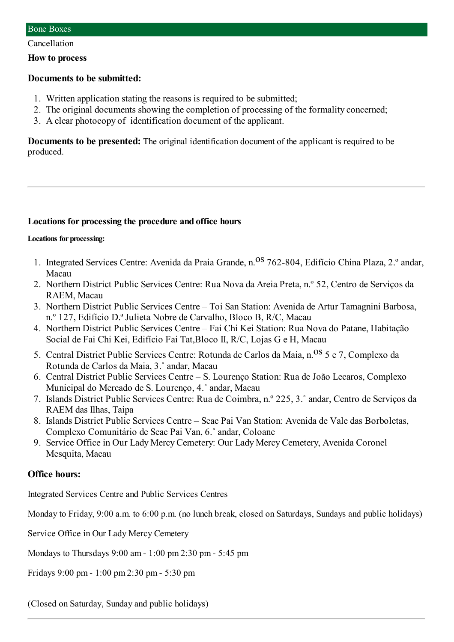Cancellation

#### **How to process**

### **Documents to be submitted:**

- 1. Written application stating the reasons is required to be submitted;
- 2. The original documents showing the completion of processing of the formality concerned;
- 3. A clear photocopy of identification document of the applicant.

**Documents to be presented:** The original identification document of the applicant is required to be produced.

### **Locations for processing the procedure and office hours**

#### **Locations for processing:**

- 1. Integrated Services Centre: Avenida da Praia Grande, n.<sup>08</sup> 762-804, Edifício China Plaza, 2.º andar, Macau
- 2. Northern District Public Services Centre: Rua Nova da Areia Preta, n.º 52, Centro de Serviços da RAEM, Macau
- 3. Northern District Public Services Centre Toi San Station: Avenida de Artur Tamagnini Barbosa, n.º 127, Edifício D.ª Julieta Nobre de Carvalho, Bloco B, R/C, Macau
- 4. Northern District Public Services Centre Fai Chi Kei Station: Rua Nova do Patane, Habitação Social de Fai Chi Kei, Edifício Fai Tat,Bloco II, R/C, Lojas G e H, Macau
- 5. Central District Public Services Centre: Rotunda de Carlos da Maia, n. <sup>OS</sup> 5 e 7, Complexo da Rotunda de Carlos da Maia, 3.˚ andar, Macau
- 6. Central District Public Services Centre S. Lourenço Station: Rua de João Lecaros, Complexo Municipal do Mercado de S. Lourenço, 4.˚ andar, Macau
- 7. Islands District Public Services Centre: Rua de Coimbra, n.º 225, 3.˚ andar, Centro de Serviços da RAEM das Ilhas, Taipa
- 8. Islands District Public Services Centre Seac Pai Van Station: Avenida de Vale das Borboletas, Complexo Comunitário de Seac Pai Van, 6.˚ andar, Coloane
- 9. Service Office in Our Lady Mercy Cemetery: Our Lady Mercy Cemetery, Avenida Coronel Mesquita, Macau

## **Office hours:**

Integrated Services Centre and Public Services Centres

Monday to Friday, 9:00 a.m. to 6:00 p.m. (no lunch break, closed on Saturdays, Sundays and public holidays)

Service Office in Our Lady Mercy Cemetery

Mondays to Thursdays 9:00 am- 1:00 pm2:30 pm- 5:45 pm

Fridays 9:00 pm - 1:00 pm 2:30 pm - 5:30 pm

(Closed on Saturday, Sunday and public holidays)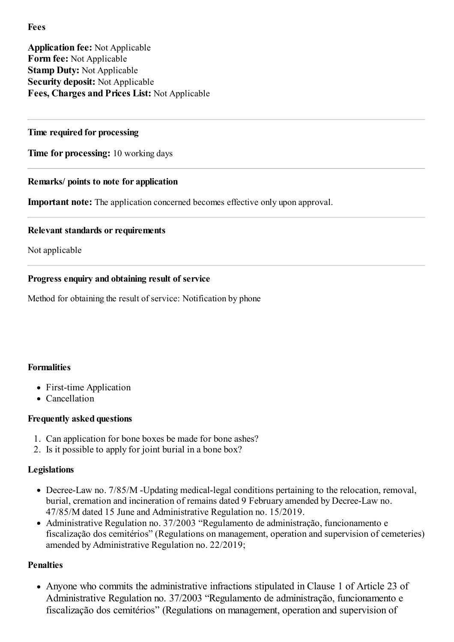# **Fees**

**Application fee:** Not Applicable **Form fee:** Not Applicable **Stamp Duty:** Not Applicable **Security deposit:** Not Applicable **Fees, Charges and Prices List:** Not Applicable

## **Time required for processing**

**Time for processing:** 10 working days

## **Remarks/ points to note for application**

**Important note:** The application concerned becomes effective only upon approval.

## **Relevant standards or requirements**

Not applicable

## **Progress enquiry and obtaining result of service**

Method for obtaining the result of service: Notification by phone

## **Formalities**

- First-time Application
- Cancellation

# **Frequently asked questions**

- 1. Can application for bone boxes be made for bone ashes?
- 2. Is it possible to apply for joint burial in a bone box?

## **Legislations**

- Decree-Law no. 7/85/M -Updating medical-legal conditions pertaining to the relocation, removal, burial, cremation and incineration of remains dated 9 February amended byDecree-Law no. 47/85/M dated 15 June and Administrative Regulation no. 15/2019.
- Administrative Regulation no. 37/2003 "Regulamento de administração, funcionamento e fiscalização dos cemitérios" (Regulations on management, operation and supervision of cemeteries) amended by Administrative Regulation no. 22/2019;

# **Penalties**

Anyone who commits the administrative infractions stipulated in Clause 1 of Article 23 of Administrative Regulation no. 37/2003 "Regulamento de administração, funcionamento e fiscalização dos cemitérios" (Regulations on management, operation and supervision of